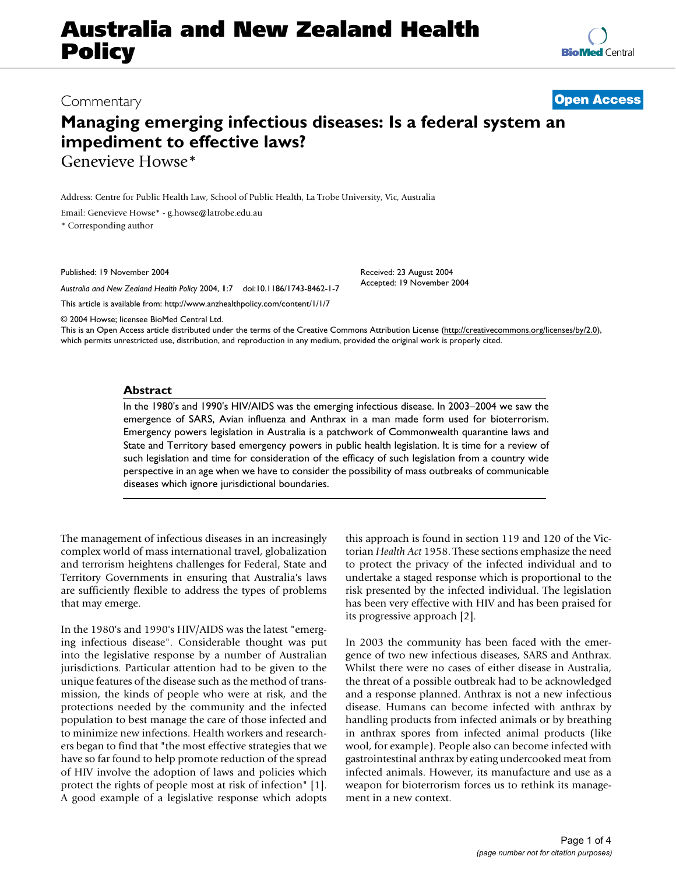# **Australia and New Zealand Health Policy**

### Commentary **[Open Access](http://www.biomedcentral.com/info/about/charter/)**

## **Managing emerging infectious diseases: Is a federal system an impediment to effective laws?** Genevieve Howse\*

Address: Centre for Public Health Law, School of Public Health, La Trobe University, Vic, Australia

Email: Genevieve Howse\* - g.howse@latrobe.edu.au

\* Corresponding author

Published: 19 November 2004

*Australia and New Zealand Health Policy* 2004, **1**:7 doi:10.1186/1743-8462-1-7

[This article is available from: http://www.anzhealthpolicy.com/content/1/1/7](http://www.anzhealthpolicy.com/content/1/1/7)

© 2004 Howse; licensee BioMed Central Ltd.

This is an Open Access article distributed under the terms of the Creative Commons Attribution License [\(http://creativecommons.org/licenses/by/2.0\)](http://creativecommons.org/licenses/by/2.0), which permits unrestricted use, distribution, and reproduction in any medium, provided the original work is properly cited.

### **Abstract**

In the 1980's and 1990's HIV/AIDS was the emerging infectious disease. In 2003–2004 we saw the emergence of SARS, Avian influenza and Anthrax in a man made form used for bioterrorism. Emergency powers legislation in Australia is a patchwork of Commonwealth quarantine laws and State and Territory based emergency powers in public health legislation. It is time for a review of such legislation and time for consideration of the efficacy of such legislation from a country wide perspective in an age when we have to consider the possibility of mass outbreaks of communicable diseases which ignore jurisdictional boundaries.

The management of infectious diseases in an increasingly complex world of mass international travel, globalization and terrorism heightens challenges for Federal, State and Territory Governments in ensuring that Australia's laws are sufficiently flexible to address the types of problems that may emerge.

In the 1980's and 1990's HIV/AIDS was the latest "emerging infectious disease". Considerable thought was put into the legislative response by a number of Australian jurisdictions. Particular attention had to be given to the unique features of the disease such as the method of transmission, the kinds of people who were at risk, and the protections needed by the community and the infected population to best manage the care of those infected and to minimize new infections. Health workers and researchers began to find that "the most effective strategies that we have so far found to help promote reduction of the spread of HIV involve the adoption of laws and policies which protect the rights of people most at risk of infection" [1]. A good example of a legislative response which adopts this approach is found in section 119 and 120 of the Victorian *Health Act* 1958. These sections emphasize the need to protect the privacy of the infected individual and to undertake a staged response which is proportional to the risk presented by the infected individual. The legislation has been very effective with HIV and has been praised for its progressive approach [2].

In 2003 the community has been faced with the emergence of two new infectious diseases, SARS and Anthrax. Whilst there were no cases of either disease in Australia, the threat of a possible outbreak had to be acknowledged and a response planned. Anthrax is not a new infectious disease. Humans can become infected with anthrax by handling products from infected animals or by breathing in anthrax spores from infected animal products (like wool, for example). People also can become infected with gastrointestinal anthrax by eating undercooked meat from infected animals. However, its manufacture and use as a weapon for bioterrorism forces us to rethink its management in a new context.

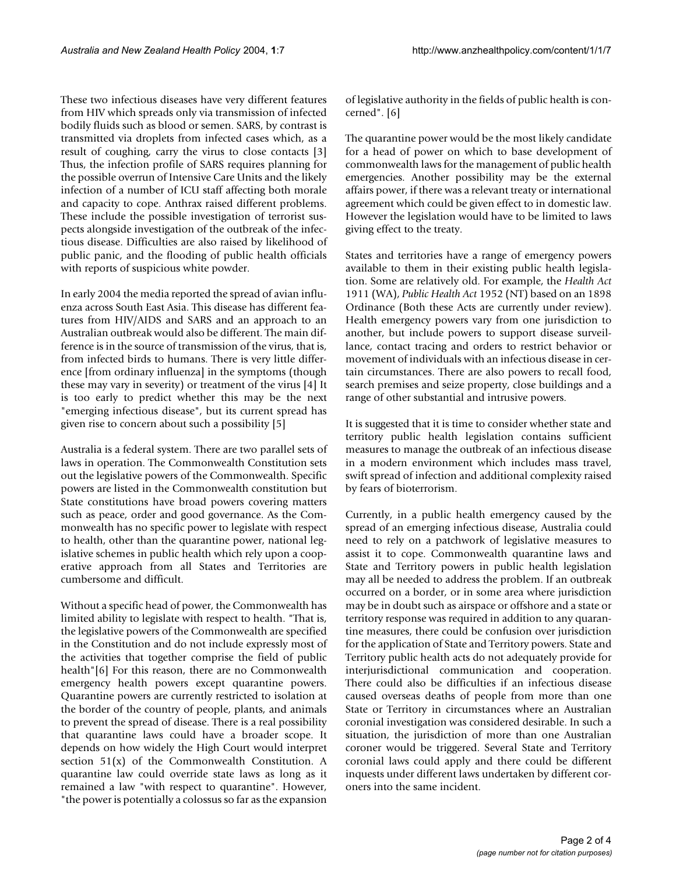These two infectious diseases have very different features from HIV which spreads only via transmission of infected bodily fluids such as blood or semen. SARS, by contrast is transmitted via droplets from infected cases which, as a result of coughing, carry the virus to close contacts [3] Thus, the infection profile of SARS requires planning for the possible overrun of Intensive Care Units and the likely infection of a number of ICU staff affecting both morale and capacity to cope. Anthrax raised different problems. These include the possible investigation of terrorist suspects alongside investigation of the outbreak of the infectious disease. Difficulties are also raised by likelihood of public panic, and the flooding of public health officials with reports of suspicious white powder.

In early 2004 the media reported the spread of avian influenza across South East Asia. This disease has different features from HIV/AIDS and SARS and an approach to an Australian outbreak would also be different. The main difference is in the source of transmission of the virus, that is, from infected birds to humans. There is very little difference [from ordinary influenza] in the symptoms (though these may vary in severity) or treatment of the virus [4] It is too early to predict whether this may be the next "emerging infectious disease", but its current spread has given rise to concern about such a possibility [5]

Australia is a federal system. There are two parallel sets of laws in operation. The Commonwealth Constitution sets out the legislative powers of the Commonwealth. Specific powers are listed in the Commonwealth constitution but State constitutions have broad powers covering matters such as peace, order and good governance. As the Commonwealth has no specific power to legislate with respect to health, other than the quarantine power, national legislative schemes in public health which rely upon a cooperative approach from all States and Territories are cumbersome and difficult.

Without a specific head of power, the Commonwealth has limited ability to legislate with respect to health. "That is, the legislative powers of the Commonwealth are specified in the Constitution and do not include expressly most of the activities that together comprise the field of public health"[6] For this reason, there are no Commonwealth emergency health powers except quarantine powers. Quarantine powers are currently restricted to isolation at the border of the country of people, plants, and animals to prevent the spread of disease. There is a real possibility that quarantine laws could have a broader scope. It depends on how widely the High Court would interpret section  $51(x)$  of the Commonwealth Constitution. A quarantine law could override state laws as long as it remained a law "with respect to quarantine". However, "the power is potentially a colossus so far as the expansion of legislative authority in the fields of public health is concerned". [6]

The quarantine power would be the most likely candidate for a head of power on which to base development of commonwealth laws for the management of public health emergencies. Another possibility may be the external affairs power, if there was a relevant treaty or international agreement which could be given effect to in domestic law. However the legislation would have to be limited to laws giving effect to the treaty.

States and territories have a range of emergency powers available to them in their existing public health legislation. Some are relatively old. For example, the *Health Act* 1911 (WA), *Public Health Act* 1952 (NT) based on an 1898 Ordinance (Both these Acts are currently under review). Health emergency powers vary from one jurisdiction to another, but include powers to support disease surveillance, contact tracing and orders to restrict behavior or movement of individuals with an infectious disease in certain circumstances. There are also powers to recall food, search premises and seize property, close buildings and a range of other substantial and intrusive powers.

It is suggested that it is time to consider whether state and territory public health legislation contains sufficient measures to manage the outbreak of an infectious disease in a modern environment which includes mass travel, swift spread of infection and additional complexity raised by fears of bioterrorism.

Currently, in a public health emergency caused by the spread of an emerging infectious disease, Australia could need to rely on a patchwork of legislative measures to assist it to cope. Commonwealth quarantine laws and State and Territory powers in public health legislation may all be needed to address the problem. If an outbreak occurred on a border, or in some area where jurisdiction may be in doubt such as airspace or offshore and a state or territory response was required in addition to any quarantine measures, there could be confusion over jurisdiction for the application of State and Territory powers. State and Territory public health acts do not adequately provide for interjurisdictional communication and cooperation. There could also be difficulties if an infectious disease caused overseas deaths of people from more than one State or Territory in circumstances where an Australian coronial investigation was considered desirable. In such a situation, the jurisdiction of more than one Australian coroner would be triggered. Several State and Territory coronial laws could apply and there could be different inquests under different laws undertaken by different coroners into the same incident.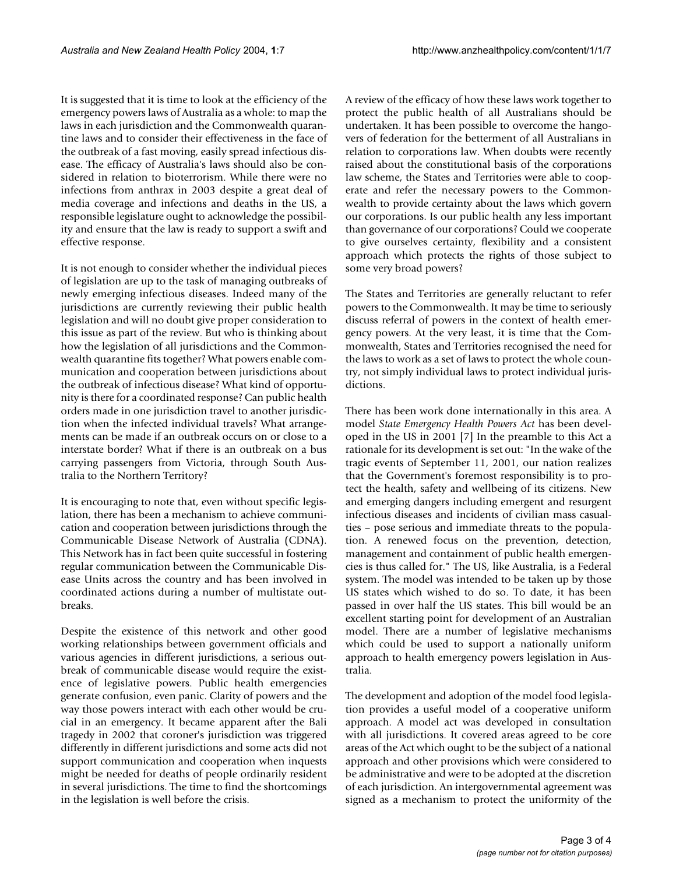It is suggested that it is time to look at the efficiency of the emergency powers laws of Australia as a whole: to map the laws in each jurisdiction and the Commonwealth quarantine laws and to consider their effectiveness in the face of the outbreak of a fast moving, easily spread infectious disease. The efficacy of Australia's laws should also be considered in relation to bioterrorism. While there were no infections from anthrax in 2003 despite a great deal of media coverage and infections and deaths in the US, a responsible legislature ought to acknowledge the possibility and ensure that the law is ready to support a swift and effective response.

It is not enough to consider whether the individual pieces of legislation are up to the task of managing outbreaks of newly emerging infectious diseases. Indeed many of the jurisdictions are currently reviewing their public health legislation and will no doubt give proper consideration to this issue as part of the review. But who is thinking about how the legislation of all jurisdictions and the Commonwealth quarantine fits together? What powers enable communication and cooperation between jurisdictions about the outbreak of infectious disease? What kind of opportunity is there for a coordinated response? Can public health orders made in one jurisdiction travel to another jurisdiction when the infected individual travels? What arrangements can be made if an outbreak occurs on or close to a interstate border? What if there is an outbreak on a bus carrying passengers from Victoria, through South Australia to the Northern Territory?

It is encouraging to note that, even without specific legislation, there has been a mechanism to achieve communication and cooperation between jurisdictions through the Communicable Disease Network of Australia (CDNA). This Network has in fact been quite successful in fostering regular communication between the Communicable Disease Units across the country and has been involved in coordinated actions during a number of multistate outbreaks.

Despite the existence of this network and other good working relationships between government officials and various agencies in different jurisdictions, a serious outbreak of communicable disease would require the existence of legislative powers. Public health emergencies generate confusion, even panic. Clarity of powers and the way those powers interact with each other would be crucial in an emergency. It became apparent after the Bali tragedy in 2002 that coroner's jurisdiction was triggered differently in different jurisdictions and some acts did not support communication and cooperation when inquests might be needed for deaths of people ordinarily resident in several jurisdictions. The time to find the shortcomings in the legislation is well before the crisis.

A review of the efficacy of how these laws work together to protect the public health of all Australians should be undertaken. It has been possible to overcome the hangovers of federation for the betterment of all Australians in relation to corporations law. When doubts were recently raised about the constitutional basis of the corporations law scheme, the States and Territories were able to cooperate and refer the necessary powers to the Commonwealth to provide certainty about the laws which govern our corporations. Is our public health any less important than governance of our corporations? Could we cooperate to give ourselves certainty, flexibility and a consistent approach which protects the rights of those subject to some very broad powers?

The States and Territories are generally reluctant to refer powers to the Commonwealth. It may be time to seriously discuss referral of powers in the context of health emergency powers. At the very least, it is time that the Commonwealth, States and Territories recognised the need for the laws to work as a set of laws to protect the whole country, not simply individual laws to protect individual jurisdictions.

There has been work done internationally in this area. A model *State Emergency Health Powers Act* has been developed in the US in 2001 [7] In the preamble to this Act a rationale for its development is set out: "In the wake of the tragic events of September 11, 2001, our nation realizes that the Government's foremost responsibility is to protect the health, safety and wellbeing of its citizens. New and emerging dangers including emergent and resurgent infectious diseases and incidents of civilian mass casualties – pose serious and immediate threats to the population. A renewed focus on the prevention, detection, management and containment of public health emergencies is thus called for." The US, like Australia, is a Federal system. The model was intended to be taken up by those US states which wished to do so. To date, it has been passed in over half the US states. This bill would be an excellent starting point for development of an Australian model. There are a number of legislative mechanisms which could be used to support a nationally uniform approach to health emergency powers legislation in Australia.

The development and adoption of the model food legislation provides a useful model of a cooperative uniform approach. A model act was developed in consultation with all jurisdictions. It covered areas agreed to be core areas of the Act which ought to be the subject of a national approach and other provisions which were considered to be administrative and were to be adopted at the discretion of each jurisdiction. An intergovernmental agreement was signed as a mechanism to protect the uniformity of the